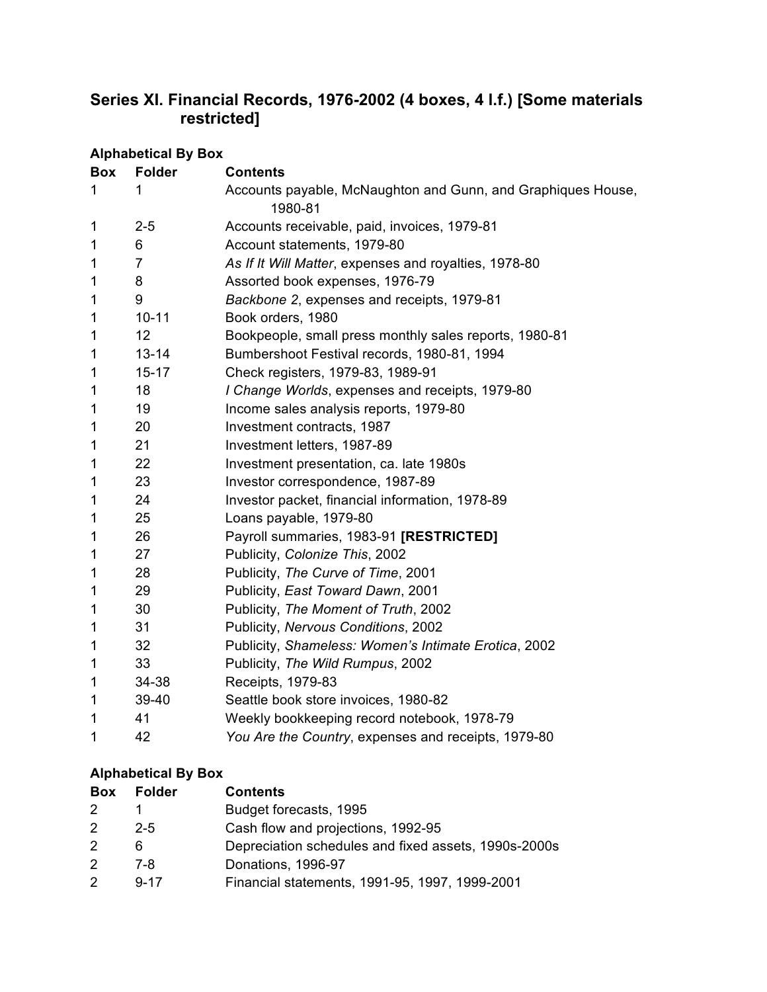## **Series XI. Financial Records, 1976-2002 (4 boxes, 4 l.f.) [Some materials restricted]**

| <b>Alphabetical By Box</b> |                |                                                                         |  |
|----------------------------|----------------|-------------------------------------------------------------------------|--|
| <b>Box</b>                 | <b>Folder</b>  | <b>Contents</b>                                                         |  |
| 1                          | 1              | Accounts payable, McNaughton and Gunn, and Graphiques House,<br>1980-81 |  |
| 1                          | $2 - 5$        | Accounts receivable, paid, invoices, 1979-81                            |  |
| 1                          | 6              | Account statements, 1979-80                                             |  |
| 1                          | $\overline{7}$ | As If It Will Matter, expenses and royalties, 1978-80                   |  |
| 1                          | 8              | Assorted book expenses, 1976-79                                         |  |
| 1                          | 9              | Backbone 2, expenses and receipts, 1979-81                              |  |
| 1                          | $10 - 11$      | Book orders, 1980                                                       |  |
| 1                          | 12             | Bookpeople, small press monthly sales reports, 1980-81                  |  |
| 1                          | $13 - 14$      | Bumbershoot Festival records, 1980-81, 1994                             |  |
| 1                          | $15 - 17$      | Check registers, 1979-83, 1989-91                                       |  |
| 1                          | 18             | I Change Worlds, expenses and receipts, 1979-80                         |  |
| 1                          | 19             | Income sales analysis reports, 1979-80                                  |  |
| 1                          | 20             | Investment contracts, 1987                                              |  |
| 1                          | 21             | Investment letters, 1987-89                                             |  |
| 1                          | 22             | Investment presentation, ca. late 1980s                                 |  |
| 1                          | 23             | Investor correspondence, 1987-89                                        |  |
| 1                          | 24             | Investor packet, financial information, 1978-89                         |  |
| 1                          | 25             | Loans payable, 1979-80                                                  |  |
| 1                          | 26             | Payroll summaries, 1983-91 [RESTRICTED]                                 |  |
| 1                          | 27             | Publicity, Colonize This, 2002                                          |  |
| 1                          | 28             | Publicity, The Curve of Time, 2001                                      |  |
| 1                          | 29             | Publicity, East Toward Dawn, 2001                                       |  |
| 1                          | 30             | Publicity, The Moment of Truth, 2002                                    |  |
| 1                          | 31             | Publicity, Nervous Conditions, 2002                                     |  |
| 1                          | 32             | Publicity, Shameless: Women's Intimate Erotica, 2002                    |  |
| 1                          | 33             | Publicity, The Wild Rumpus, 2002                                        |  |
| 1                          | 34-38          | Receipts, 1979-83                                                       |  |
| 1                          | 39-40          | Seattle book store invoices, 1980-82                                    |  |
| 1                          | 41             | Weekly bookkeeping record notebook, 1978-79                             |  |
| 1                          | 42             | You Are the Country, expenses and receipts, 1979-80                     |  |

## **Alphabetical By Box**

| <b>Box</b>    | <b>Folder</b> | <b>Contents</b>                                      |
|---------------|---------------|------------------------------------------------------|
| $\mathcal{P}$ |               | Budget forecasts, 1995                               |
| $\mathcal{P}$ | $2 - 5$       | Cash flow and projections, 1992-95                   |
| 2             | 6             | Depreciation schedules and fixed assets, 1990s-2000s |
| $\mathcal{P}$ | 7-8.          | Donations, 1996-97                                   |
| $\mathcal{P}$ | $9 - 17$      | Financial statements, 1991-95, 1997, 1999-2001       |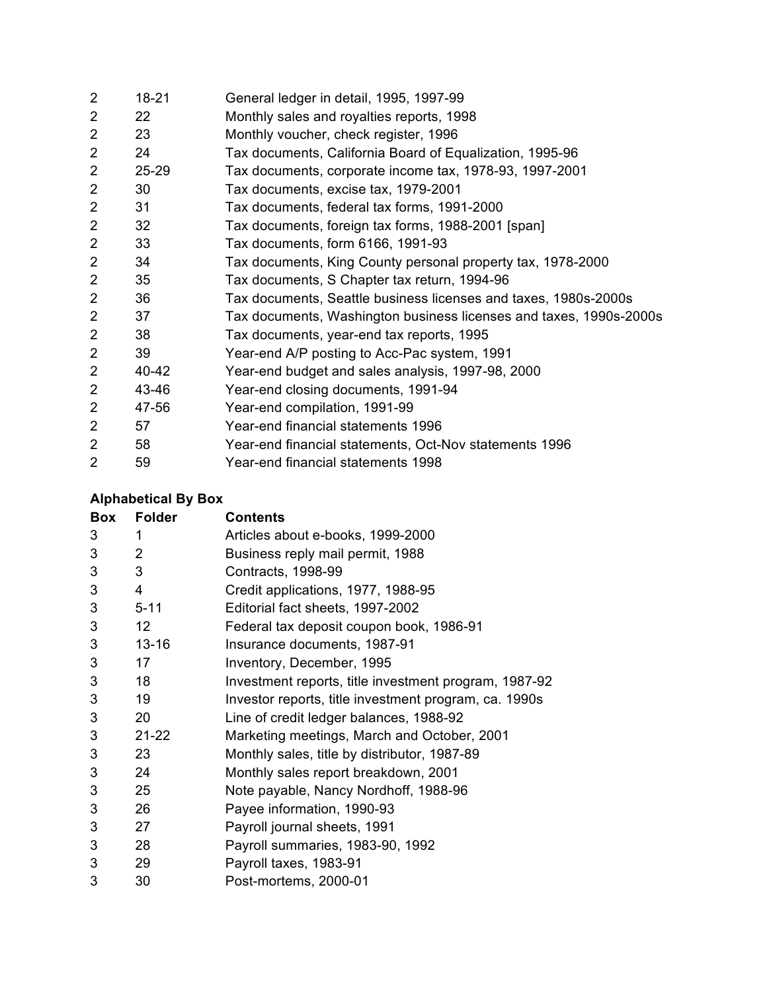| $\overline{2}$ | 18-21 | General ledger in detail, 1995, 1997-99                            |
|----------------|-------|--------------------------------------------------------------------|
| $\overline{2}$ | 22    | Monthly sales and royalties reports, 1998                          |
| $\overline{2}$ | 23    | Monthly voucher, check register, 1996                              |
| $\overline{2}$ | 24    | Tax documents, California Board of Equalization, 1995-96           |
| $\overline{2}$ | 25-29 | Tax documents, corporate income tax, 1978-93, 1997-2001            |
| $\overline{2}$ | 30    | Tax documents, excise tax, 1979-2001                               |
| $\overline{2}$ | 31    | Tax documents, federal tax forms, 1991-2000                        |
| $\overline{2}$ | 32    | Tax documents, foreign tax forms, 1988-2001 [span]                 |
| $\overline{2}$ | 33    | Tax documents, form 6166, 1991-93                                  |
| $\overline{2}$ | 34    | Tax documents, King County personal property tax, 1978-2000        |
| $\overline{2}$ | 35    | Tax documents, S Chapter tax return, 1994-96                       |
| $\overline{2}$ | 36    | Tax documents, Seattle business licenses and taxes, 1980s-2000s    |
| $\overline{2}$ | 37    | Tax documents, Washington business licenses and taxes, 1990s-2000s |
| $\overline{2}$ | 38    | Tax documents, year-end tax reports, 1995                          |
| $\overline{2}$ | 39    | Year-end A/P posting to Acc-Pac system, 1991                       |
| $\overline{2}$ | 40-42 | Year-end budget and sales analysis, 1997-98, 2000                  |
| $\overline{2}$ | 43-46 | Year-end closing documents, 1991-94                                |
| $\overline{2}$ | 47-56 | Year-end compilation, 1991-99                                      |
| $\overline{2}$ | 57    | Year-end financial statements 1996                                 |
| $\overline{2}$ | 58    | Year-end financial statements, Oct-Nov statements 1996             |
| $\overline{2}$ | 59    | Year-end financial statements 1998                                 |

## **Alphabetical By Box**

| Box | <b>Folder</b>   | <b>Contents</b>                                       |
|-----|-----------------|-------------------------------------------------------|
| 3   | 1               | Articles about e-books, 1999-2000                     |
| 3   | $\overline{2}$  | Business reply mail permit, 1988                      |
| 3   | 3               | Contracts, 1998-99                                    |
| 3   | 4               | Credit applications, 1977, 1988-95                    |
| 3   | $5 - 11$        | Editorial fact sheets, 1997-2002                      |
| 3   | 12 <sub>2</sub> | Federal tax deposit coupon book, 1986-91              |
| 3   | $13 - 16$       | Insurance documents, 1987-91                          |
| 3   | 17              | Inventory, December, 1995                             |
| 3   | 18              | Investment reports, title investment program, 1987-92 |
| 3   | 19              | Investor reports, title investment program, ca. 1990s |
| 3   | 20              | Line of credit ledger balances, 1988-92               |
| 3   | $21 - 22$       | Marketing meetings, March and October, 2001           |
| 3   | 23              | Monthly sales, title by distributor, 1987-89          |
| 3   | 24              | Monthly sales report breakdown, 2001                  |
| 3   | 25              | Note payable, Nancy Nordhoff, 1988-96                 |
| 3   | 26              | Payee information, 1990-93                            |
| 3   | 27              | Payroll journal sheets, 1991                          |
| 3   | 28              | Payroll summaries, 1983-90, 1992                      |
| 3   | 29              | Payroll taxes, 1983-91                                |
| 3   | 30              | Post-mortems, 2000-01                                 |
|     |                 |                                                       |